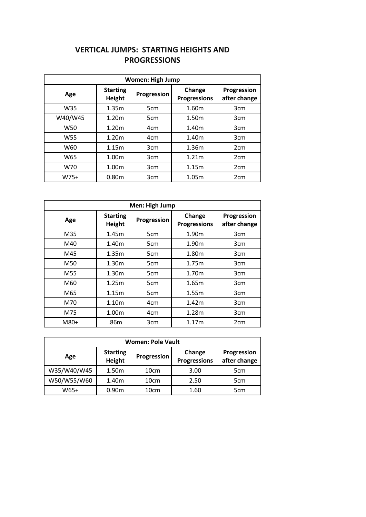## **VERTICAL JUMPS: STARTING HEIGHTS AND PROGRESSIONS**

| <b>Women: High Jump</b> |                                  |                 |                               |                             |  |
|-------------------------|----------------------------------|-----------------|-------------------------------|-----------------------------|--|
| Age                     | <b>Starting</b><br><b>Height</b> | Progression     | Change<br><b>Progressions</b> | Progression<br>after change |  |
| W35                     | 1.35m                            | 5 <sub>cm</sub> | 1.60m                         | 3 <sub>cm</sub>             |  |
| W40/W45                 | 1.20m                            | 5cm             | 1.50m                         | 3cm                         |  |
| W50                     | 1.20 <sub>m</sub>                | 4 <sub>cm</sub> | 1.40m                         | 3cm                         |  |
| W <sub>55</sub>         | 1.20 <sub>m</sub>                | 4cm             | 1.40m                         | 3 <sub>cm</sub>             |  |
| W60                     | 1.15m                            | 3cm             | 1.36m                         | 2 <sub>cm</sub>             |  |
| W65                     | 1.00m                            | 3cm             | 1.21m                         | 2 <sub>cm</sub>             |  |
| W70                     | 1.00m                            | 3cm             | 1.15m                         | 2 <sub>cm</sub>             |  |
| $W75+$                  | 0.80m                            | 3cm             | 1.05m                         | 2 <sub>cm</sub>             |  |

| Men: High Jump |                           |                 |                               |                             |  |
|----------------|---------------------------|-----------------|-------------------------------|-----------------------------|--|
| Age            | <b>Starting</b><br>Height | Progression     | Change<br><b>Progressions</b> | Progression<br>after change |  |
| M35            | 1.45m                     | 5cm             | 1.90m                         | 3cm                         |  |
| M40            | 1.40m                     | 5 <sub>cm</sub> | 1.90m                         | 3cm                         |  |
| M45            | 1.35m                     | 5 <sub>cm</sub> | 1.80m                         | 3cm                         |  |
| M50            | 1.30m                     | 5cm             | 1.75m                         | 3cm                         |  |
| M55            | 1.30m                     | 5 <sub>cm</sub> | 1.70m                         | 3cm                         |  |
| M60            | 1.25m                     | 5cm             | 1.65m                         | 3cm                         |  |
| M65            | 1.15m                     | 5 <sub>cm</sub> | 1.55m                         | 3cm                         |  |
| M70            | 1.10m                     | 4 <sub>cm</sub> | 1.42m                         | 3 <sub>cm</sub>             |  |
| M75            | 1.00m                     | 4cm             | 1.28m                         | 3cm                         |  |
| M80+           | .86m                      | 3cm             | 1.17m                         | 2cm                         |  |

| <b>Women: Pole Vault</b> |                           |                  |                               |                             |
|--------------------------|---------------------------|------------------|-------------------------------|-----------------------------|
| Age                      | <b>Starting</b><br>Height | Progression      | Change<br><b>Progressions</b> | Progression<br>after change |
| W35/W40/W45              | 1.50m                     | 10 <sub>cm</sub> | 3.00                          | 5 <sub>cm</sub>             |
| W50/W55/W60              | 1.40m                     | 10cm             | 2.50                          | 5 <sub>cm</sub>             |
| W65+                     | 0.90 <sub>m</sub>         | 10cm             | 1.60                          | 5 <sub>cm</sub>             |